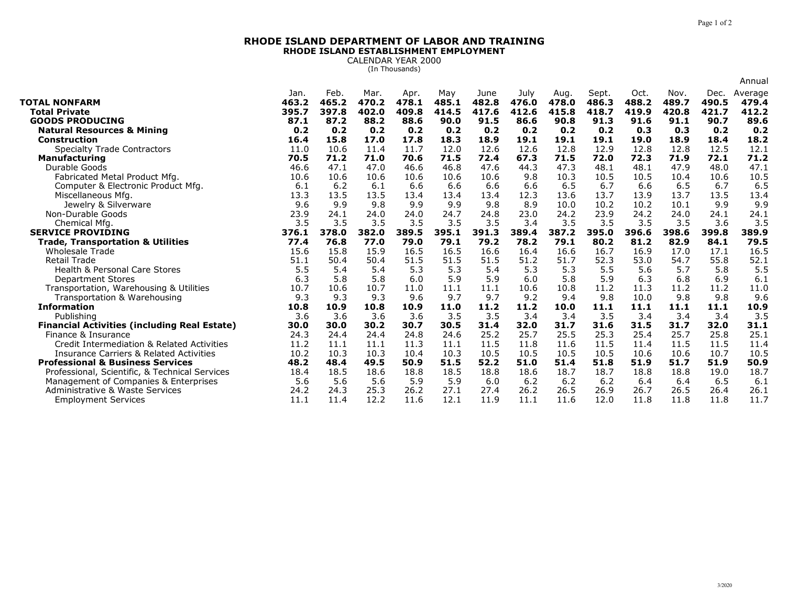## **RHODE ISLAND DEPARTMENT OF LABOR AND TRAININGRHODE ISLAND ESTABLISHMENT EMPLOYMENT**

CALENDAR YEAR 2000 (In Thousands)

|                                                                          |               |              |               |               |             |               |               |               |               |             |             |               | Annual        |
|--------------------------------------------------------------------------|---------------|--------------|---------------|---------------|-------------|---------------|---------------|---------------|---------------|-------------|-------------|---------------|---------------|
|                                                                          | Jan.          | Feb.         | Mar.          | Apr.          | May         | June          | July          | Aug.          | Sept.         | Oct.        | Nov.        | Dec.          | Average       |
| <b>TOTAL NONFARM</b>                                                     | 463.2         | 465.2        | 470.2         | 478.1         | 485.1       | 482.8         | 476.0         | 478.0         | 486.3         | 488.2       | 489.7       | 490.5         | 479.4         |
| <b>Total Private</b>                                                     | 395.7<br>87.1 | 397.8        | 402.0<br>88.2 | 409.8<br>88.6 | 414.5       | 417.6<br>91.5 | 412.6<br>86.6 | 415.8<br>90.8 | 418.7<br>91.3 | 419.9       | 420.8       | 421.7<br>90.7 | 412.2<br>89.6 |
| <b>GOODS PRODUCING</b>                                                   | 0.2           | 87.2<br>0.2  | 0.2           | 0.2           | 90.0        | 0.2           | 0.2           | 0.2           | 0.2           | 91.6        | 91.1<br>0.3 | 0.2           | 0.2           |
| <b>Natural Resources &amp; Mining</b><br>Construction                    | 16.4          | 15.8         | 17.0          | 17.8          | 0.2<br>18.3 | 18.9          | 19.1          | 19.1          | 19.1          | 0.3<br>19.0 | 18.9        | 18.4          | 18.2          |
| <b>Specialty Trade Contractors</b>                                       | 11.0          | 10.6         | 11.4          | 11.7          | 12.0        | 12.6          | 12.6          | 12.8          | 12.9          | 12.8        | 12.8        | 12.5          | 12.1          |
| <b>Manufacturing</b>                                                     | 70.5          | 71.2         | 71.0          | 70.6          | 71.5        | 72.4          | 67.3          | 71.5          | 72.0          | 72.3        | 71.9        | 72.1          | 71.2          |
| Durable Goods                                                            | 46.6          | 47.1         | 47.0          | 46.6          | 46.8        | 47.6          | 44.3          | 47.3          | 48.1          | 48.1        | 47.9        | 48.0          | 47.1          |
| Fabricated Metal Product Mfg.                                            | 10.6          | 10.6         | 10.6          | 10.6          | 10.6        | 10.6          | 9.8           | 10.3          | 10.5          | 10.5        | 10.4        | 10.6          | 10.5          |
| Computer & Electronic Product Mfg.                                       | 6.1           | 6.2          | 6.1           | 6.6           | 6.6         | 6.6           | 6.6           | 6.5           | 6.7           | 6.6         | 6.5         | 6.7           | 6.5           |
| Miscellaneous Mfg.                                                       | 13.3          | 13.5         | 13.5          | 13.4          | 13.4        | 13.4          | 12.3          | 13.6          | 13.7          | 13.9        | 13.7        | 13.5          | 13.4          |
| Jewelry & Silverware                                                     | 9.6           | 9.9          | 9.8           | 9.9           | 9.9         | 9.8           | 8.9           | 10.0          | 10.2          | 10.2        | 10.1        | 9.9           | 9.9           |
| Non-Durable Goods                                                        | 23.9          | 24.1         | 24.0          | 24.0          | 24.7        | 24.8          | 23.0          | 24.2          | 23.9          | 24.2        | 24.0        | 24.1          | 24.1          |
| Chemical Mfg.                                                            | 3.5           | 3.5          | 3.5           | 3.5           | 3.5         | 3.5           | 3.4           | 3.5           | 3.5           | 3.5         | 3.5         | 3.6           | 3.5           |
| <b>SERVICE PROVIDING</b>                                                 | 376.1         | 378.0        | 382.0         | 389.5         | 395.1       | 391.3         | 389.4         | 387.2         | 395.0         | 396.6       | 398.6       | 399.8         | 389.9         |
| <b>Trade, Transportation &amp; Utilities</b>                             | 77.4          | 76.8         | 77.0          | 79.0          | 79.1        | 79.2          | 78.2          | 79.1          | 80.2          | 81.2        | 82.9        | 84.1          | 79.5          |
| <b>Wholesale Trade</b>                                                   | 15.6          | 15.8         | 15.9          | 16.5          | 16.5        | 16.6          | 16.4          | 16.6          | 16.7          | 16.9        | 17.0        | 17.1          | 16.5          |
| <b>Retail Trade</b>                                                      | 51.1          | 50.4         | 50.4          | 51.5          | 51.5        | 51.5          | 51.2          | 51.7          | 52.3          | 53.0        | 54.7        | 55.8          | 52.1          |
| <b>Health &amp; Personal Care Stores</b>                                 | 5.5           | 5.4          | 5.4           | 5.3           | 5.3         | 5.4           | 5.3           | 5.3           | 5.5           | 5.6         | 5.7         | 5.8           | 5.5           |
| <b>Department Stores</b>                                                 | 6.3           | 5.8          | 5.8           | 6.0           | 5.9         | 5.9           | 6.0           | 5.8           | 5.9           | 6.3         | 6.8         | 6.9           | 6.1           |
| Transportation, Warehousing & Utilities                                  | 10.7          | 10.6         | 10.7          | 11.0          | 11.1        | 11.1          | 10.6          | 10.8          | 11.2          | 11.3        | 11.2        | 11.2          | 11.0          |
| Transportation & Warehousing                                             | 9.3           | 9.3          | 9.3           | 9.6           | 9.7         | 9.7           | 9.2           | 9.4           | 9.8           | 10.0        | 9.8         | 9.8           | 9.6           |
| <b>Information</b>                                                       | 10.8          | 10.9         | 10.8          | 10.9          | 11.0        | 11.2          | 11.2          | 10.0          | 11.1          | 11.1        | 11.1        | 11.1          | 10.9          |
| Publishing                                                               | 3.6           | 3.6          | 3.6           | 3.6           | 3.5         | 3.5           | 3.4           | 3.4           | 3.5           | 3.4         | 3.4         | 3.4           | 3.5           |
| <b>Financial Activities (including Real Estate)</b>                      | 30.0          | 30.0         | 30.2          | 30.7          | 30.5        | 31.4          | 32.0          | 31.7          | 31.6          | 31.5        | 31.7        | 32.0          | 31.1          |
| Finance & Insurance                                                      | 24.3          | 24.4         | 24.4          | 24.8          | 24.6        | 25.2          | 25.7          | 25.5          | 25.3          | 25.4        | 25.7        | 25.8          | 25.1          |
| Credit Intermediation & Related Activities                               | 11.2          | 11.1         | 11.1          | 11.3          | 11.1        | 11.5          | 11.8          | 11.6          | 11.5          | 11.4        | 11.5        | 11.5          | 11.4          |
| <b>Insurance Carriers &amp; Related Activities</b>                       | 10.2          | 10.3<br>48.4 | 10.3          | 10.4          | 10.3        | 10.5          | 10.5<br>51.0  | 10.5          | 10.5          | 10.6        | 10.6        | 10.7          | 10.5          |
| <b>Professional &amp; Business Services</b>                              | 48.2          |              | 49.5          | 50.9          | 51.5        | 52.2          |               | 51.4          | 51.8          | 51.9        | 51.7        | 51.9          | 50.9          |
| Professional, Scientific, & Technical Services                           | 18.4          | 18.5         | 18.6          | 18.8          | 18.5        | 18.8<br>6.0   | 18.6<br>6.2   | 18.7<br>6.2   | 18.7<br>6.2   | 18.8<br>6.4 | 18.8<br>6.4 | 19.0          | 18.7<br>6.1   |
| Management of Companies & Enterprises<br>Administrative & Waste Services | 5.6<br>24.2   | 5.6<br>24.3  | 5.6<br>25.3   | 5.9<br>26.2   | 5.9<br>27.1 | 27.4          | 26.2          | 26.5          | 26.9          | 26.7        | 26.5        | 6.5<br>26.4   | 26.1          |
| <b>Employment Services</b>                                               | 11.1          | 11.4         | 12.2          | 11.6          | 12.1        | 11.9          | 11.1          | 11.6          | 12.0          | 11.8        | 11.8        | 11.8          | 11.7          |
|                                                                          |               |              |               |               |             |               |               |               |               |             |             |               |               |